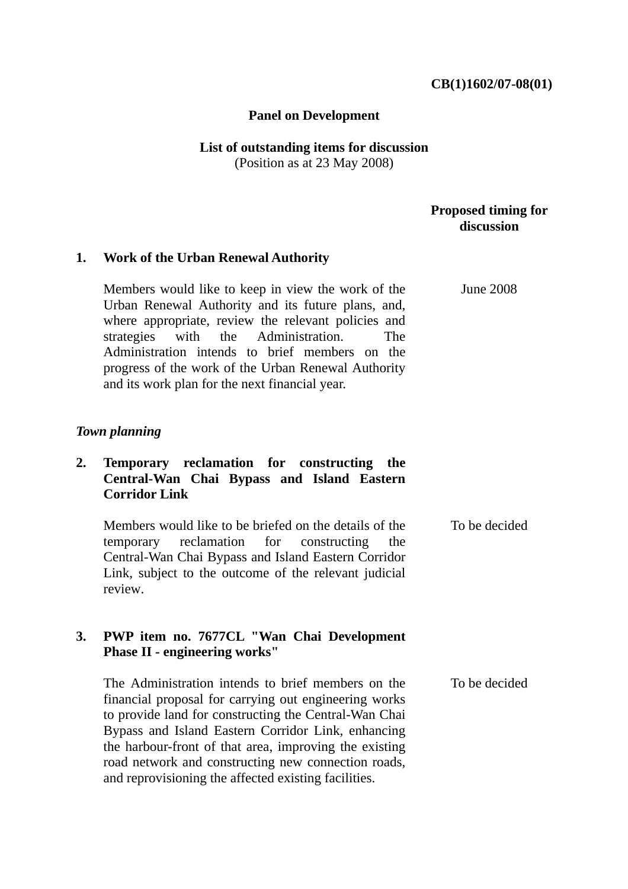## **CB(1)1602/07-08(01)**

#### **Panel on Development**

# **List of outstanding items for discussion**

(Position as at 23 May 2008)

## **Proposed timing for discussion**

June 2008

## **1. Work of the Urban Renewal Authority**

Members would like to keep in view the work of the Urban Renewal Authority and its future plans, and, where appropriate, review the relevant policies and strategies with the Administration. The Administration intends to brief members on the progress of the work of the Urban Renewal Authority and its work plan for the next financial year.

## *Town planning*

# **2. Temporary reclamation for constructing the Central-Wan Chai Bypass and Island Eastern Corridor Link**

Members would like to be briefed on the details of the temporary reclamation for constructing the Central-Wan Chai Bypass and Island Eastern Corridor Link, subject to the outcome of the relevant judicial review. To be decided

# **3. PWP item no. 7677CL "Wan Chai Development Phase II - engineering works"**

The Administration intends to brief members on the financial proposal for carrying out engineering works to provide land for constructing the Central-Wan Chai Bypass and Island Eastern Corridor Link, enhancing the harbour-front of that area, improving the existing road network and constructing new connection roads, and reprovisioning the affected existing facilities. To be decided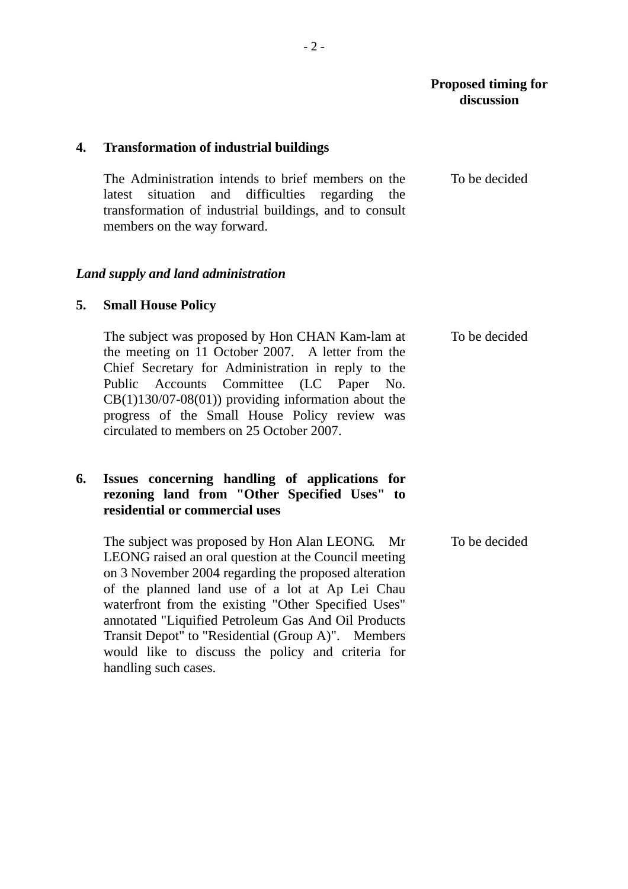# **Proposed timing for discussion**

## **4. Transformation of industrial buildings**

The Administration intends to brief members on the latest situation and difficulties regarding the transformation of industrial buildings, and to consult members on the way forward. To be decided

#### *Land supply and land administration*

#### **5. Small House Policy**

The subject was proposed by Hon CHAN Kam-lam at the meeting on 11 October 2007. A letter from the Chief Secretary for Administration in reply to the Public Accounts Committee (LC Paper No.  $CB(1)130/07-08(01)$  providing information about the progress of the Small House Policy review was circulated to members on 25 October 2007. To be decided

# **6. Issues concerning handling of applications for rezoning land from "Other Specified Uses" to residential or commercial uses**

The subject was proposed by Hon Alan LEONG. Mr LEONG raised an oral question at the Council meeting on 3 November 2004 regarding the proposed alteration of the planned land use of a lot at Ap Lei Chau waterfront from the existing "Other Specified Uses" annotated "Liquified Petroleum Gas And Oil Products Transit Depot" to "Residential (Group A)". Members would like to discuss the policy and criteria for handling such cases. To be decided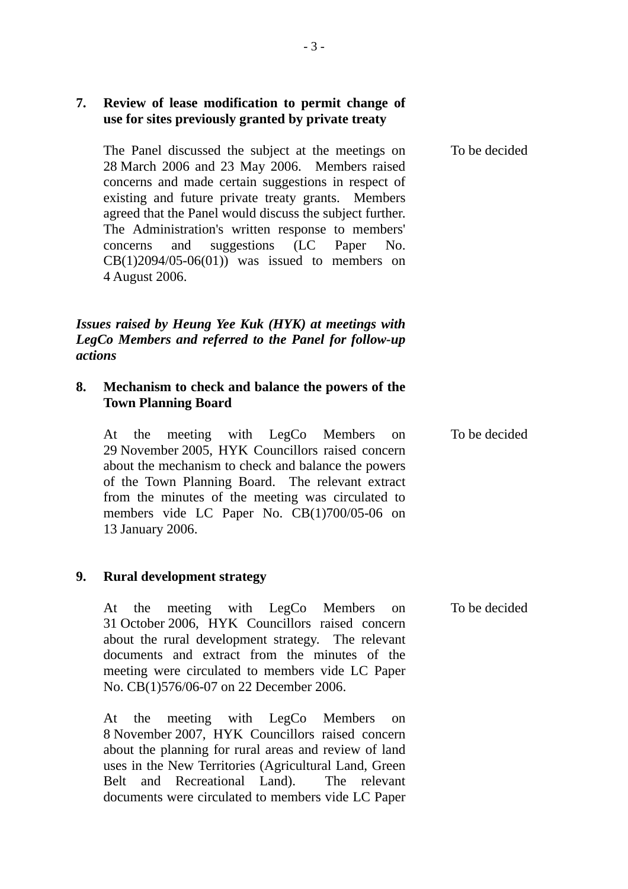|                | use for sites previously granted by private treaty                                                                                                                                                                                                                                                                                                                                                                                                        |               |
|----------------|-----------------------------------------------------------------------------------------------------------------------------------------------------------------------------------------------------------------------------------------------------------------------------------------------------------------------------------------------------------------------------------------------------------------------------------------------------------|---------------|
|                | The Panel discussed the subject at the meetings on<br>28 March 2006 and 23 May 2006. Members raised<br>concerns and made certain suggestions in respect of<br>existing and future private treaty grants. Members<br>agreed that the Panel would discuss the subject further.<br>The Administration's written response to members'<br>suggestions (LC Paper<br>and<br>concerns<br>No.<br>$CB(1)2094/05-06(01))$ was issued to members on<br>4 August 2006. | To be decided |
| <i>actions</i> | Issues raised by Heung Yee Kuk (HYK) at meetings with<br>LegCo Members and referred to the Panel for follow-up                                                                                                                                                                                                                                                                                                                                            |               |
| 8.             | Mechanism to check and balance the powers of the<br><b>Town Planning Board</b>                                                                                                                                                                                                                                                                                                                                                                            |               |
|                | meeting with LegCo Members<br>the<br>At<br><sub>on</sub><br>29 November 2005, HYK Councillors raised concern<br>about the mechanism to check and balance the powers<br>of the Town Planning Board. The relevant extract<br>from the minutes of the meeting was circulated to<br>members vide LC Paper No. CB(1)700/05-06 on<br>13 January 2006.                                                                                                           | To be decided |
| 9.             | <b>Rural development strategy</b>                                                                                                                                                                                                                                                                                                                                                                                                                         |               |
|                | meeting with LegCo Members<br>the<br>At<br>on<br>31 October 2006, HYK Councillors raised concern<br>about the rural development strategy. The relevant<br>documents and extract from the minutes of the<br>meeting were circulated to members vide LC Paper<br>No. CB(1)576/06-07 on 22 December 2006.                                                                                                                                                    | To be decided |
|                | meeting with LegCo Members<br>the<br>At<br><sub>on</sub>                                                                                                                                                                                                                                                                                                                                                                                                  |               |

8 November 2007, HYK Councillors raised concern about the planning for rural areas and review of land uses in the New Territories (Agricultural Land, Green Belt and Recreational Land). The relevant documents were circulated to members vide LC Paper

**7. Review of lease modification to permit change of**